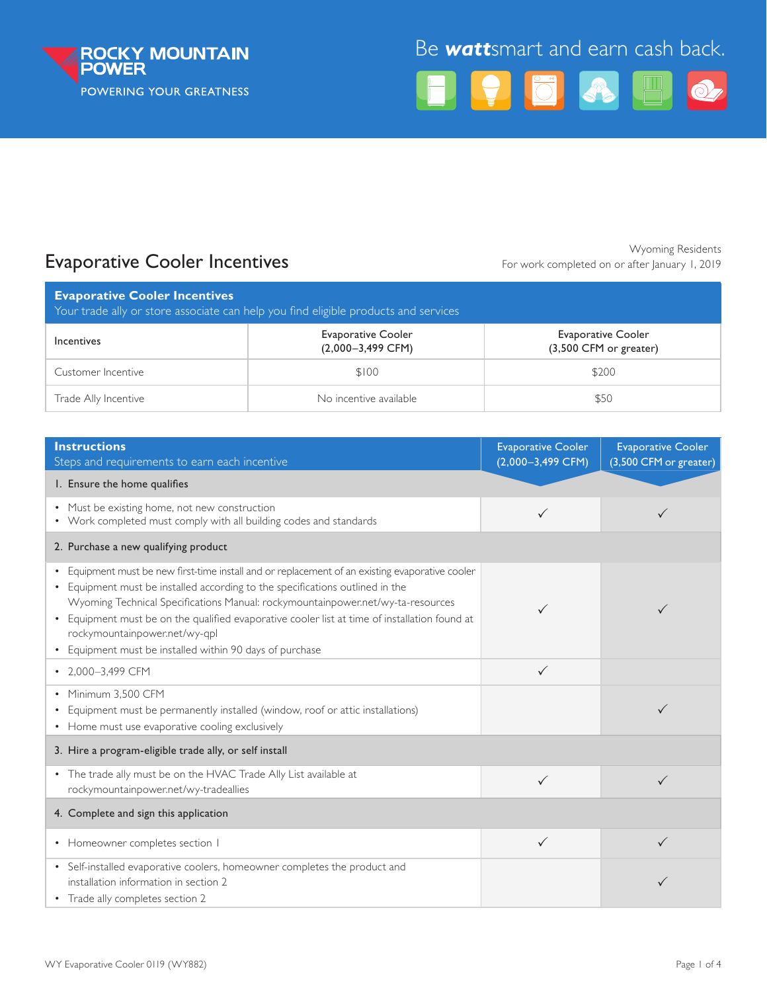

Be *watt*smart and earn cash back.



# Evaporative Cooler Incentives For Mark Cooler For work completed on or after January 1, 2019

Wyoming Residents

| <b>Evaporative Cooler Incentives</b><br>Your trade ally or store associate can help you find eligible products and services |                                                  |                                                     |  |  |  |
|-----------------------------------------------------------------------------------------------------------------------------|--------------------------------------------------|-----------------------------------------------------|--|--|--|
| Incentives                                                                                                                  | <b>Evaporative Cooler</b><br>$(2,000-3,499$ CFM) | <b>Evaporative Cooler</b><br>(3,500 CFM or greater) |  |  |  |
| Customer Incentive                                                                                                          | \$100                                            | \$200                                               |  |  |  |
| Trade Ally Incentive                                                                                                        | No incentive available                           | \$50                                                |  |  |  |

| <b>Instructions</b><br>Steps and requirements to earn each incentive                                                                                                                                                                                                                                                                                                                                                                                              | <b>Evaporative Cooler</b><br>$(2,000-3,499$ CFM) | <b>Evaporative Cooler</b><br>(3,500 CFM or greater) |
|-------------------------------------------------------------------------------------------------------------------------------------------------------------------------------------------------------------------------------------------------------------------------------------------------------------------------------------------------------------------------------------------------------------------------------------------------------------------|--------------------------------------------------|-----------------------------------------------------|
| I. Ensure the home qualifies                                                                                                                                                                                                                                                                                                                                                                                                                                      |                                                  |                                                     |
| • Must be existing home, not new construction<br>• Work completed must comply with all building codes and standards                                                                                                                                                                                                                                                                                                                                               | $\checkmark$                                     |                                                     |
| 2. Purchase a new qualifying product                                                                                                                                                                                                                                                                                                                                                                                                                              |                                                  |                                                     |
| • Equipment must be new first-time install and or replacement of an existing evaporative cooler<br>• Equipment must be installed according to the specifications outlined in the<br>Wyoming Technical Specifications Manual: rockymountainpower.net/wy-ta-resources<br>• Equipment must be on the qualified evaporative cooler list at time of installation found at<br>rockymountainpower.net/wy-qpl<br>• Equipment must be installed within 90 days of purchase |                                                  |                                                     |
| • 2,000-3,499 CFM                                                                                                                                                                                                                                                                                                                                                                                                                                                 | $\checkmark$                                     |                                                     |
| • Minimum 3,500 CFM<br>• Equipment must be permanently installed (window, roof or attic installations)<br>• Home must use evaporative cooling exclusively                                                                                                                                                                                                                                                                                                         |                                                  |                                                     |
| 3. Hire a program-eligible trade ally, or self install                                                                                                                                                                                                                                                                                                                                                                                                            |                                                  |                                                     |
| • The trade ally must be on the HVAC Trade Ally List available at<br>rockymountainpower.net/wy-tradeallies                                                                                                                                                                                                                                                                                                                                                        | $\checkmark$                                     | ✓                                                   |
| 4. Complete and sign this application                                                                                                                                                                                                                                                                                                                                                                                                                             |                                                  |                                                     |
| • Homeowner completes section I                                                                                                                                                                                                                                                                                                                                                                                                                                   | $\checkmark$                                     | $\checkmark$                                        |
| • Self-installed evaporative coolers, homeowner completes the product and<br>installation information in section 2<br>• Trade ally completes section 2                                                                                                                                                                                                                                                                                                            |                                                  | ✓                                                   |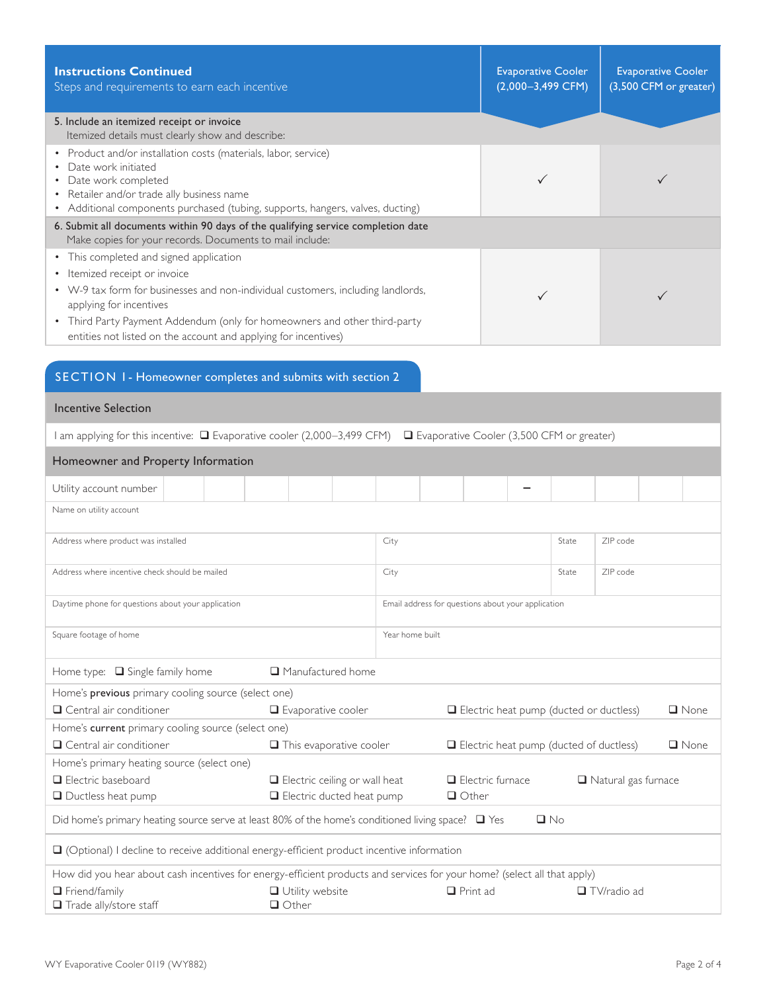| <b>Instructions Continued</b><br>Steps and requirements to earn each incentive                                                                                                                                                                                                                                                          | <b>Evaporative Cooler</b><br>$(2,000-3,499$ CFM) | <b>Evaporative Cooler</b><br>(3,500 CFM or greater) |
|-----------------------------------------------------------------------------------------------------------------------------------------------------------------------------------------------------------------------------------------------------------------------------------------------------------------------------------------|--------------------------------------------------|-----------------------------------------------------|
| 5. Include an itemized receipt or invoice<br>Itemized details must clearly show and describe:                                                                                                                                                                                                                                           |                                                  |                                                     |
| • Product and/or installation costs (materials, labor, service)<br>• Date work initiated<br>• Date work completed<br>• Retailer and/or trade ally business name<br>• Additional components purchased (tubing, supports, hangers, valves, ducting)                                                                                       |                                                  |                                                     |
| 6. Submit all documents within 90 days of the qualifying service completion date<br>Make copies for your records. Documents to mail include:                                                                                                                                                                                            |                                                  |                                                     |
| • This completed and signed application<br>• Itemized receipt or invoice<br>• W-9 tax form for businesses and non-individual customers, including landlords,<br>applying for incentives<br>• Third Party Payment Addendum (only for homeowners and other third-party<br>entities not listed on the account and applying for incentives) |                                                  |                                                     |

# SECTION 1 - Homeowner completes and submits with section 2

### Incentive Selection

I am applying for this incentive: Q Evaporative cooler (2,000–3,499 CFM) Q Evaporative Cooler (3,500 CFM or greater)

| Homeowner and Property Information                                                                                       |                                        |                                                          |                                                |       |                                                               |                    |  |             |
|--------------------------------------------------------------------------------------------------------------------------|----------------------------------------|----------------------------------------------------------|------------------------------------------------|-------|---------------------------------------------------------------|--------------------|--|-------------|
| Utility account number                                                                                                   |                                        |                                                          |                                                |       |                                                               |                    |  |             |
| Name on utility account                                                                                                  |                                        |                                                          |                                                |       |                                                               |                    |  |             |
| Address where product was installed                                                                                      |                                        |                                                          | City                                           |       |                                                               | ZIP code<br>State  |  |             |
| Address where incentive check should be mailed                                                                           |                                        | City                                                     |                                                | State | ZIP code                                                      |                    |  |             |
| Daytime phone for questions about your application<br>Email address for questions about your application                 |                                        |                                                          |                                                |       |                                                               |                    |  |             |
| Square footage of home                                                                                                   | Year home built                        |                                                          |                                                |       |                                                               |                    |  |             |
| Home type: $\Box$ Single family home<br>$\Box$ Manufactured home                                                         |                                        |                                                          |                                                |       |                                                               |                    |  |             |
| Home's previous primary cooling source (select one)                                                                      |                                        |                                                          |                                                |       |                                                               |                    |  |             |
| $\Box$ Central air conditioner                                                                                           | $\Box$ Evaporative cooler              |                                                          | $\Box$ Electric heat pump (ducted or ductless) |       |                                                               |                    |  | $\Box$ None |
| Home's current primary cooling source (select one)                                                                       |                                        |                                                          |                                                |       |                                                               |                    |  |             |
| $\Box$ Central air conditioner                                                                                           |                                        | $\Box$ This evaporative cooler                           |                                                |       | $\Box$ Electric heat pump (ducted of ductless)<br>$\Box$ None |                    |  |             |
| Home's primary heating source (select one)                                                                               |                                        |                                                          |                                                |       |                                                               |                    |  |             |
| $\Box$ Electric baseboard                                                                                                |                                        | Electric ceiling or wall heat<br>$\Box$ Electric furnace |                                                |       | Natural gas furnace                                           |                    |  |             |
| $\Box$ Ductless heat pump                                                                                                |                                        | Electric ducted heat pump<br>$\Box$ Other                |                                                |       |                                                               |                    |  |             |
| $\Box$ No<br>Did home's primary heating source serve at least 80% of the home's conditioned living space? $\Box$ Yes     |                                        |                                                          |                                                |       |                                                               |                    |  |             |
| $\Box$ (Optional) I decline to receive additional energy-efficient product incentive information                         |                                        |                                                          |                                                |       |                                                               |                    |  |             |
| How did you hear about cash incentives for energy-efficient products and services for your home? (select all that apply) |                                        |                                                          |                                                |       |                                                               |                    |  |             |
| $\Box$ Friend/family<br>$\Box$ Trade ally/store staff                                                                    | $\Box$ Utility website<br>$\Box$ Other |                                                          | $\Box$ Print ad                                |       |                                                               | $\Box$ TV/radio ad |  |             |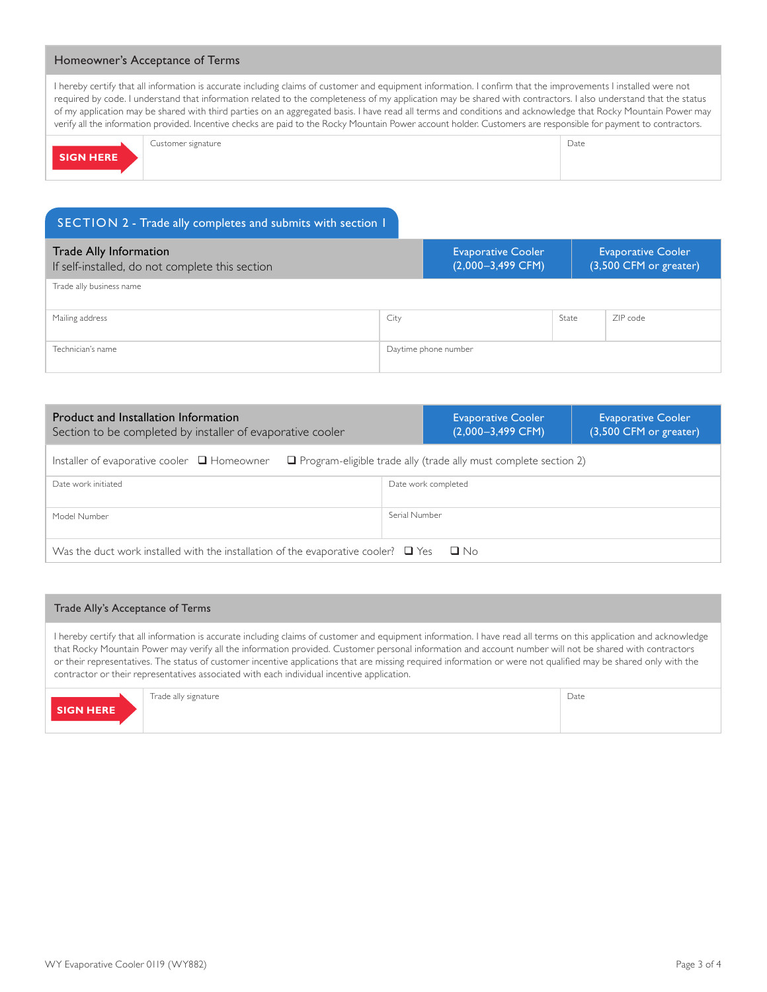### Homeowner's Acceptance of Terms

I hereby certify that all information is accurate including claims of customer and equipment information. I confirm that the improvements I installed were not required by code. I understand that information related to the completeness of my application may be shared with contractors. I also understand that the status of my application may be shared with third parties on an aggregated basis. I have read all terms and conditions and acknowledge that Rocky Mountain Power may verify all the information provided. Incentive checks are paid to the Rocky Mountain Power account holder. Customers are responsible for payment to contractors.



Customer signature

| Date |  |
|------|--|
|      |  |

## SECTION 2 - Trade ally completes and submits with section 1

| Trade Ally Information<br>If self-installed, do not complete this section | <b>Evaporative Cooler</b><br>$(2,000-3,499$ CFM) |       | <b>Evaporative Cooler</b><br>(3,500 CFM or greater) |
|---------------------------------------------------------------------------|--------------------------------------------------|-------|-----------------------------------------------------|
| Trade ally business name                                                  |                                                  |       |                                                     |
| Mailing address                                                           | City                                             | State | ZIP code                                            |
| Technician's name                                                         | Daytime phone number                             |       |                                                     |

| Product and Installation Information<br>Section to be completed by installer of evaporative cooler                          | <b>Evaporative Cooler</b><br><b>Evaporative Cooler</b><br>$(2,000-3,499$ CFM)<br>(3,500 CFM or greater) |  |  |  |  |
|-----------------------------------------------------------------------------------------------------------------------------|---------------------------------------------------------------------------------------------------------|--|--|--|--|
| Installer of evaporative cooler $\Box$ Homeowner<br>$\Box$ Program-eligible trade ally (trade ally must complete section 2) |                                                                                                         |  |  |  |  |
| Date work initiated                                                                                                         | Date work completed                                                                                     |  |  |  |  |
| Model Number                                                                                                                | Serial Number                                                                                           |  |  |  |  |
| Was the duct work installed with the installation of the evaporative cooler? $\Box$ Yes<br>$\Box$ No                        |                                                                                                         |  |  |  |  |

#### Trade Ally's Acceptance of Terms

**SI** 

I hereby certify that all information is accurate including claims of customer and equipment information. I have read all terms on this application and acknowledge that Rocky Mountain Power may verify all the information provided. Customer personal information and account number will not be shared with contractors or their representatives. The status of customer incentive applications that are missing required information or were not qualified may be shared only with the contractor or their representatives associated with each individual incentive application.

|                | Trade ally signature | Date |
|----------------|----------------------|------|
| <b>GN HERE</b> |                      |      |
|                |                      |      |